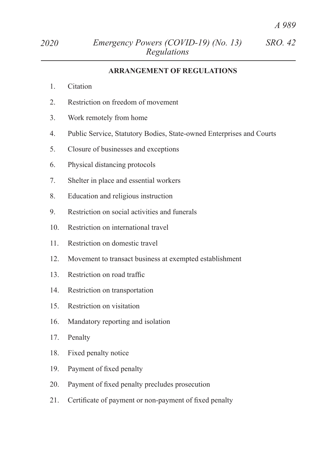## **ARRANGEMENT OF REGULATIONS**

- 1. Citation
- 2. Restriction on freedom of movement
- 3. Work remotely from home
- 4. Public Service, Statutory Bodies, State-owned Enterprises and Courts
- 5. Closure of businesses and exceptions
- 6. Physical distancing protocols
- 7. Shelter in place and essential workers
- 8. Education and religious instruction
- 9. Restriction on social activities and funerals
- 10. Restriction on international travel
- 11. Restriction on domestic travel
- 12. Movement to transact business at exempted establishment
- 13. Restriction on road traffic
- 14. Restriction on transportation
- 15. Restriction on visitation
- 16. Mandatory reporting and isolation
- 17. Penalty
- 18. Fixed penalty notice
- 19. Payment of fixed penalty
- 20. Payment of fixed penalty precludes prosecution
- 21. Certificate of payment or non-payment of fixed penalty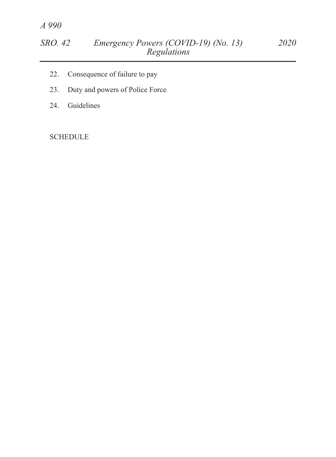- 22. Consequence of failure to pay
- 23. Duty and powers of Police Force
- 24. Guidelines

**SCHEDULE**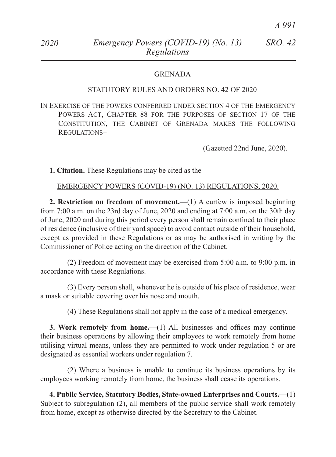### GRENADA

#### STATUTORY RULES AND ORDERS NO. 42 OF 2020

In Exercise of the powers conferred under section 4 of the Emergency Powers Act, Chapter 88 for the purposes of section 17 of the Constitution, the Cabinet of Grenada makes the following Regulations–

(Gazetted 22nd June, 2020).

**1. Citation.** These Regulations may be cited as the

EMERGENCY POWERS (COVID-19) (NO. 13) REGULATIONS, 2020.

**2. Restriction on freedom of movement.**—(1) A curfew is imposed beginning from 7:00 a.m. on the 23rd day of June, 2020 and ending at 7:00 a.m. on the 30th day of June, 2020 and during this period every person shall remain confined to their place of residence (inclusive of their yard space) to avoid contact outside of their household, except as provided in these Regulations or as may be authorised in writing by the Commissioner of Police acting on the direction of the Cabinet.

(2) Freedom of movement may be exercised from 5:00 a.m. to 9:00 p.m. in accordance with these Regulations.

(3) Every person shall, whenever he is outside of his place of residence, wear a mask or suitable covering over his nose and mouth.

(4) These Regulations shall not apply in the case of a medical emergency.

**3. Work remotely from home.**—(1) All businesses and offices may continue their business operations by allowing their employees to work remotely from home utilising virtual means, unless they are permitted to work under regulation 5 or are designated as essential workers under regulation 7.

(2) Where a business is unable to continue its business operations by its employees working remotely from home, the business shall cease its operations.

**4. Public Service, Statutory Bodies, State-owned Enterprises and Courts.**—(1) Subject to subregulation (2), all members of the public service shall work remotely from home, except as otherwise directed by the Secretary to the Cabinet.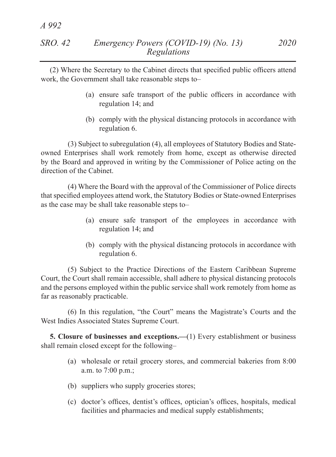*A 992*

(2) Where the Secretary to the Cabinet directs that specified public officers attend work, the Government shall take reasonable steps to–

- (a) ensure safe transport of the public officers in accordance with regulation 14; and
- (b) comply with the physical distancing protocols in accordance with regulation 6.

(3) Subject to subregulation (4), all employees of Statutory Bodies and Stateowned Enterprises shall work remotely from home, except as otherwise directed by the Board and approved in writing by the Commissioner of Police acting on the direction of the Cabinet.

(4) Where the Board with the approval of the Commissioner of Police directs that specified employees attend work, the Statutory Bodies or State-owned Enterprises as the case may be shall take reasonable steps to–

- (a) ensure safe transport of the employees in accordance with regulation 14; and
- (b) comply with the physical distancing protocols in accordance with regulation 6.

(5) Subject to the Practice Directions of the Eastern Caribbean Supreme Court, the Court shall remain accessible, shall adhere to physical distancing protocols and the persons employed within the public service shall work remotely from home as far as reasonably practicable.

(6) In this regulation, "the Court" means the Magistrate's Courts and the West Indies Associated States Supreme Court.

**5. Closure of businesses and exceptions.—**(1) Every establishment or business shall remain closed except for the following–

- (a) wholesale or retail grocery stores, and commercial bakeries from 8:00 a.m. to 7:00 p.m.;
- (b) suppliers who supply groceries stores;
- (c) doctor's offices, dentist's offices, optician's offices, hospitals, medical facilities and pharmacies and medical supply establishments;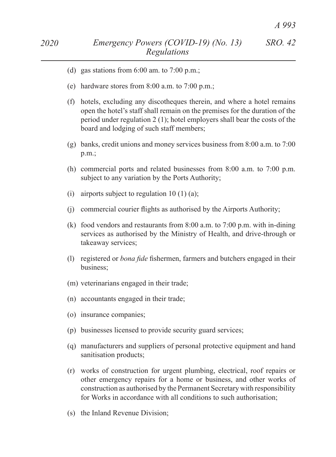- (d) gas stations from  $6:00$  am. to  $7:00$  p.m.;
- (e) hardware stores from 8:00 a.m. to 7:00 p.m.;
- (f) hotels, excluding any discotheques therein, and where a hotel remains open the hotel's staff shall remain on the premises for the duration of the period under regulation 2 (1); hotel employers shall bear the costs of the board and lodging of such staff members;
- (g) banks, credit unions and money services business from 8:00 a.m. to 7:00 p.m.;
- (h) commercial ports and related businesses from 8:00 a.m. to 7:00 p.m. subject to any variation by the Ports Authority;
- (i) airports subject to regulation  $10(1)(a)$ ;
- (i) commercial courier flights as authorised by the Airports Authority;
- (k) food vendors and restaurants from 8:00 a.m. to 7:00 p.m. with in-dining services as authorised by the Ministry of Health, and drive-through or takeaway services;
- (l) registered or *bona fide* fishermen, farmers and butchers engaged in their business;
- (m) veterinarians engaged in their trade;
- (n) accountants engaged in their trade;
- (o) insurance companies;
- (p) businesses licensed to provide security guard services;
- (q) manufacturers and suppliers of personal protective equipment and hand sanitisation products;
- (r) works of construction for urgent plumbing, electrical, roof repairs or other emergency repairs for a home or business, and other works of construction as authorised by the Permanent Secretary with responsibility for Works in accordance with all conditions to such authorisation;
- (s) the Inland Revenue Division;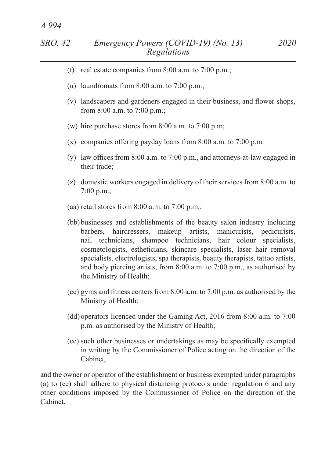- (u) laundromats from  $8:00$  a.m. to  $7:00$  p.m.;
- (v) landscapers and gardeners engaged in their business, and flower shops, from 8:00 a.m. to 7:00 p.m.;
- (w) hire purchase stores from 8:00 a.m. to 7:00 p.m;
- (x) companies offering payday loans from 8:00 a.m. to 7:00 p.m.
- (y) law offices from  $8:00$  a.m. to  $7:00$  p.m., and attorneys-at-law engaged in their trade;
- (z) domestic workers engaged in delivery of their services from 8:00 a.m. to 7:00 p.m.;
- (aa) retail stores from 8:00 a.m. to 7:00 p.m.;
- (bb) businesses and establishments of the beauty salon industry including barbers, hairdressers, makeup artists, manicurists, pedicurists, nail technicians, shampoo technicians, hair colour specialists, cosmetologists, estheticians, skincare specialists, laser hair removal specialists, electrologists, spa therapists, beauty therapists, tattoo artists, and body piercing artists, from 8:00 a.m. to 7:00 p.m., as authorised by the Ministry of Health;
- (cc) gyms and fitness centers from  $8:00$  a.m. to  $7:00$  p.m. as authorised by the Ministry of Health;
- (dd) operators licenced under the Gaming Act, 2016 from 8:00 a.m. to 7:00 p.m. as authorised by the Ministry of Health;
- (ee) such other businesses or undertakings as may be specifically exempted in writing by the Commissioner of Police acting on the direction of the Cabinet,

and the owner or operator of the establishment or business exempted under paragraphs (a) to (ee) shall adhere to physical distancing protocols under regulation 6 and any other conditions imposed by the Commissioner of Police on the direction of the Cabinet.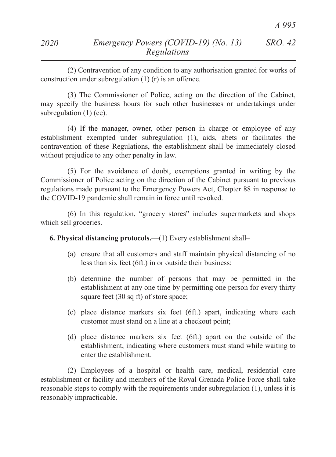(2) Contravention of any condition to any authorisation granted for works of construction under subregulation (1) (r) is an offence.

(3) The Commissioner of Police, acting on the direction of the Cabinet, may specify the business hours for such other businesses or undertakings under subregulation  $(1)$  (ee).

(4) If the manager, owner, other person in charge or employee of any establishment exempted under subregulation (1), aids, abets or facilitates the contravention of these Regulations, the establishment shall be immediately closed without prejudice to any other penalty in law.

(5) For the avoidance of doubt, exemptions granted in writing by the Commissioner of Police acting on the direction of the Cabinet pursuant to previous regulations made pursuant to the Emergency Powers Act, Chapter 88 in response to the COVID-19 pandemic shall remain in force until revoked.

(6) In this regulation, "grocery stores" includes supermarkets and shops which sell groceries.

**6. Physical distancing protocols.**—(1) Every establishment shall–

- (a) ensure that all customers and staff maintain physical distancing of no less than six feet (6ft.) in or outside their business;
- (b) determine the number of persons that may be permitted in the establishment at any one time by permitting one person for every thirty square feet (30 sq ft) of store space;
- (c) place distance markers six feet (6ft.) apart, indicating where each customer must stand on a line at a checkout point;
- (d) place distance markers six feet (6ft.) apart on the outside of the establishment, indicating where customers must stand while waiting to enter the establishment.

(2) Employees of a hospital or health care, medical, residential care establishment or facility and members of the Royal Grenada Police Force shall take reasonable steps to comply with the requirements under subregulation (1), unless it is reasonably impracticable.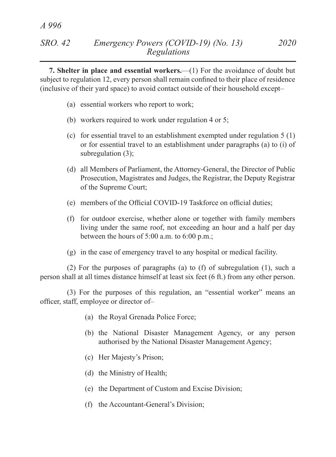**7. Shelter in place and essential workers.**—(1) For the avoidance of doubt but subject to regulation 12, every person shall remain confined to their place of residence (inclusive of their yard space) to avoid contact outside of their household except–

(a) essential workers who report to work;

*A 996*

- (b) workers required to work under regulation 4 or 5;
- (c) for essential travel to an establishment exempted under regulation 5 (1) or for essential travel to an establishment under paragraphs (a) to (i) of subregulation (3);
- (d) all Members of Parliament, the Attorney-General, the Director of Public Prosecution, Magistrates and Judges, the Registrar, the Deputy Registrar of the Supreme Court;
- (e) members of the Official COVID-19 Taskforce on official duties;
- (f) for outdoor exercise, whether alone or together with family members living under the same roof, not exceeding an hour and a half per day between the hours of 5:00 a.m. to 6:00 p.m.;
- (g) in the case of emergency travel to any hospital or medical facility.

(2) For the purposes of paragraphs (a) to (f) of subregulation (1), such a person shall at all times distance himself at least six feet (6 ft.) from any other person.

(3) For the purposes of this regulation, an "essential worker" means an officer, staff, employee or director of–

- (a) the Royal Grenada Police Force;
- (b) the National Disaster Management Agency, or any person authorised by the National Disaster Management Agency;
- (c) Her Majesty's Prison;
- (d) the Ministry of Health;
- (e) the Department of Custom and Excise Division;
- (f) the Accountant-General's Division;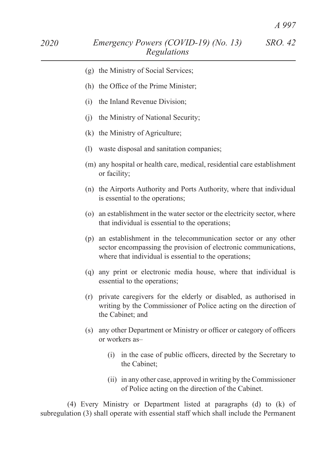- (h) the Office of the Prime Minister;
- (i) the Inland Revenue Division;
- (j) the Ministry of National Security;
- (k) the Ministry of Agriculture;
- (l) waste disposal and sanitation companies;
- (m) any hospital or health care, medical, residential care establishment or facility;
- (n) the Airports Authority and Ports Authority, where that individual is essential to the operations;
- (o) an establishment in the water sector or the electricity sector, where that individual is essential to the operations;
- (p) an establishment in the telecommunication sector or any other sector encompassing the provision of electronic communications, where that individual is essential to the operations;
- (q) any print or electronic media house, where that individual is essential to the operations;
- (r) private caregivers for the elderly or disabled, as authorised in writing by the Commissioner of Police acting on the direction of the Cabinet; and
- (s) any other Department or Ministry or officer or category of officers or workers as–
	- (i) in the case of public officers, directed by the Secretary to the Cabinet;
	- (ii) in any other case, approved in writing by the Commissioner of Police acting on the direction of the Cabinet.

(4) Every Ministry or Department listed at paragraphs (d) to (k) of subregulation (3) shall operate with essential staff which shall include the Permanent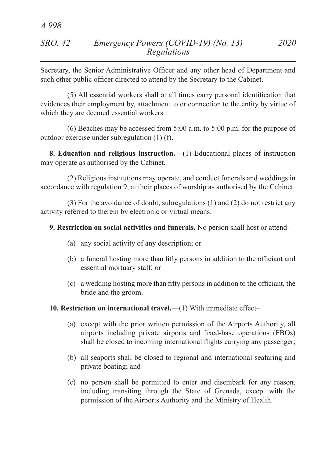# *SRO. 42 Emergency Powers (COVID-19) (No. 13) 2020 Regulations*

Secretary, the Senior Administrative Officer and any other head of Department and such other public officer directed to attend by the Secretary to the Cabinet.

(5) All essential workers shall at all times carry personal identification that evidences their employment by, attachment to or connection to the entity by virtue of which they are deemed essential workers.

(6) Beaches may be accessed from 5:00 a.m. to 5:00 p.m. for the purpose of outdoor exercise under subregulation (1) (f).

**8. Education and religious instruction.**—(1) Educational places of instruction may operate as authorised by the Cabinet.

(2) Religious institutions may operate, and conduct funerals and weddings in accordance with regulation 9, at their places of worship as authorised by the Cabinet.

(3) For the avoidance of doubt, subregulations (1) and (2) do not restrict any activity referred to therein by electronic or virtual means.

## **9. Restriction on social activities and funerals.** No person shall host or attend–

- (a) any social activity of any description; or
- (b) a funeral hosting more than fifty persons in addition to the officiant and essential mortuary staff; or
- (c) a wedding hosting more than fifty persons in addition to the officiant, the bride and the groom.

## **10. Restriction on international travel.**—(1) With immediate effect–

- (a) except with the prior written permission of the Airports Authority, all airports including private airports and fixed-base operations (FBOs) shall be closed to incoming international flights carrying any passenger;
- (b) all seaports shall be closed to regional and international seafaring and private boating; and
- (c) no person shall be permitted to enter and disembark for any reason, including transiting through the State of Grenada, except with the permission of the Airports Authority and the Ministry of Health.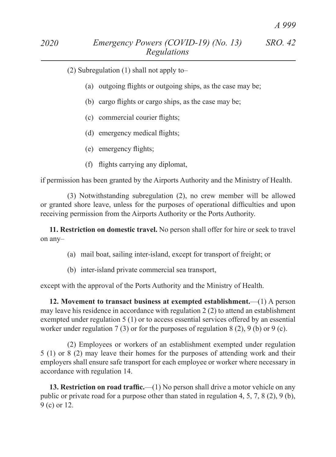- (a) outgoing flights or outgoing ships, as the case may be;
- (b) cargo flights or cargo ships, as the case may be;
- (c) commercial courier flights;
- (d) emergency medical flights;
- (e) emergency flights;
- (f) flights carrying any diplomat,

if permission has been granted by the Airports Authority and the Ministry of Health.

(3) Notwithstanding subregulation (2), no crew member will be allowed or granted shore leave, unless for the purposes of operational difficulties and upon receiving permission from the Airports Authority or the Ports Authority.

**11. Restriction on domestic travel.** No person shall offer for hire or seek to travel on any–

- (a) mail boat, sailing inter-island, except for transport of freight; or
- (b) inter-island private commercial sea transport,

except with the approval of the Ports Authority and the Ministry of Health.

**12. Movement to transact business at exempted establishment.**—(1) A person may leave his residence in accordance with regulation 2 (2) to attend an establishment exempted under regulation 5 (1) or to access essential services offered by an essential worker under regulation 7 (3) or for the purposes of regulation 8 (2), 9 (b) or 9 (c).

(2) Employees or workers of an establishment exempted under regulation 5 (1) or 8 (2) may leave their homes for the purposes of attending work and their employers shall ensure safe transport for each employee or worker where necessary in accordance with regulation 14.

**13. Restriction on road traffic.—(1)** No person shall drive a motor vehicle on any public or private road for a purpose other than stated in regulation 4, 5, 7, 8 (2), 9 (b), 9 (c) or 12.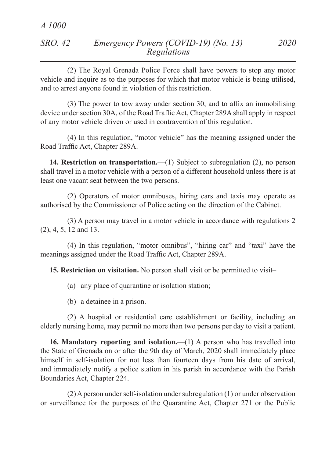| SRO. 42 | Emergency Powers (COVID-19) (No. 13) | 2020 |
|---------|--------------------------------------|------|
|         | Regulations                          |      |

(2) The Royal Grenada Police Force shall have powers to stop any motor vehicle and inquire as to the purposes for which that motor vehicle is being utilised, and to arrest anyone found in violation of this restriction.

(3) The power to tow away under section 30, and to affix an immobilising device under section 30A, of the Road Traffic Act, Chapter 289A shall apply in respect of any motor vehicle driven or used in contravention of this regulation.

(4) In this regulation, "motor vehicle" has the meaning assigned under the Road Traffic Act, Chapter 289A.

**14. Restriction on transportation.**—(1) Subject to subregulation (2), no person shall travel in a motor vehicle with a person of a different household unless there is at least one vacant seat between the two persons.

(2) Operators of motor omnibuses, hiring cars and taxis may operate as authorised by the Commissioner of Police acting on the direction of the Cabinet.

(3) A person may travel in a motor vehicle in accordance with regulations 2 (2), 4, 5, 12 and 13.

(4) In this regulation, "motor omnibus", "hiring car" and "taxi" have the meanings assigned under the Road Traffic Act, Chapter 289A.

**15. Restriction on visitation.** No person shall visit or be permitted to visit–

- (a) any place of quarantine or isolation station;
- (b) a detainee in a prison.

(2) A hospital or residential care establishment or facility, including an elderly nursing home, may permit no more than two persons per day to visit a patient.

**16. Mandatory reporting and isolation.**—(1) A person who has travelled into the State of Grenada on or after the 9th day of March, 2020 shall immediately place himself in self-isolation for not less than fourteen days from his date of arrival, and immediately notify a police station in his parish in accordance with the Parish Boundaries Act, Chapter 224.

(2) A person under self-isolation under subregulation (1) or under observation or surveillance for the purposes of the Quarantine Act, Chapter 271 or the Public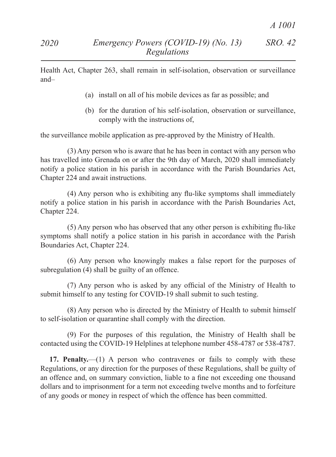Health Act, Chapter 263, shall remain in self-isolation, observation or surveillance and–

- (a) install on all of his mobile devices as far as possible; and
- (b) for the duration of his self-isolation, observation or surveillance, comply with the instructions of,

the surveillance mobile application as pre-approved by the Ministry of Health.

(3) Any person who is aware that he has been in contact with any person who has travelled into Grenada on or after the 9th day of March, 2020 shall immediately notify a police station in his parish in accordance with the Parish Boundaries Act, Chapter 224 and await instructions.

(4) Any person who is exhibiting any flu-like symptoms shall immediately notify a police station in his parish in accordance with the Parish Boundaries Act, Chapter 224.

(5) Any person who has observed that any other person is exhibiting flu-like symptoms shall notify a police station in his parish in accordance with the Parish Boundaries Act, Chapter 224.

(6) Any person who knowingly makes a false report for the purposes of subregulation (4) shall be guilty of an offence.

(7) Any person who is asked by any official of the Ministry of Health to submit himself to any testing for COVID-19 shall submit to such testing.

(8) Any person who is directed by the Ministry of Health to submit himself to self-isolation or quarantine shall comply with the direction.

(9) For the purposes of this regulation, the Ministry of Health shall be contacted using the COVID-19 Helplines at telephone number 458-4787 or 538-4787.

**17. Penalty.**—(1) A person who contravenes or fails to comply with these Regulations, or any direction for the purposes of these Regulations, shall be guilty of an offence and, on summary conviction, liable to a fine not exceeding one thousand dollars and to imprisonment for a term not exceeding twelve months and to forfeiture of any goods or money in respect of which the offence has been committed.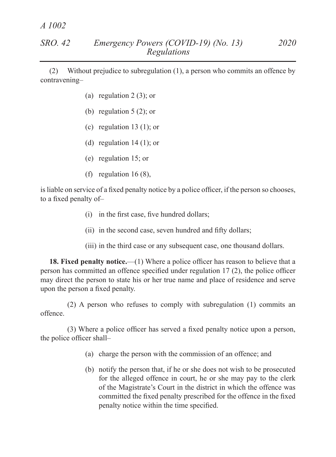*A 1002*

(2) Without prejudice to subregulation (1), a person who commits an offence by contravening–

- (a) regulation  $2(3)$ ; or
- (b) regulation  $5(2)$ ; or
- (c) regulation  $13(1)$ ; or
- (d) regulation  $14(1)$ ; or
- (e) regulation 15; or
- (f) regulation  $16(8)$ ,

isliable on service of a fixed penalty notice by a police officer, if the person so chooses, to a fixed penalty of–

- (i) in the first case, five hundred dollars;
- (ii) in the second case, seven hundred and fifty dollars;
- (iii) in the third case or any subsequent case, one thousand dollars.

**18. Fixed penalty notice.**—(1) Where a police officer has reason to believe that a person has committed an offence specified under regulation 17 (2), the police officer may direct the person to state his or her true name and place of residence and serve upon the person a fixed penalty.

(2) A person who refuses to comply with subregulation (1) commits an offence.

(3) Where a police officer has served a fixed penalty notice upon a person, the police officer shall–

- (a) charge the person with the commission of an offence; and
- (b) notify the person that, if he or she does not wish to be prosecuted for the alleged offence in court, he or she may pay to the clerk of the Magistrate's Court in the district in which the offence was committed the fixed penalty prescribed for the offence in the fixed penalty notice within the time specified.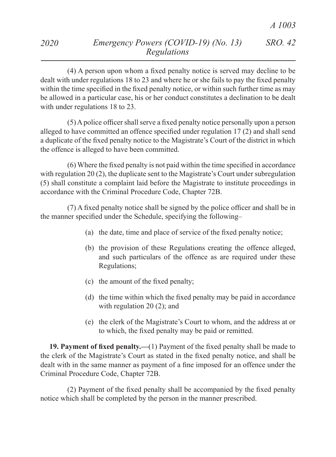(4) A person upon whom a fixed penalty notice is served may decline to be dealt with under regulations 18 to 23 and where he or she fails to pay the fixed penalty within the time specified in the fixed penalty notice, or within such further time as may be allowed in a particular case, his or her conduct constitutes a declination to be dealt with under regulations 18 to 23.

(5)Apolice officer shall serve a fixed penalty notice personally upon a person alleged to have committed an offence specified under regulation 17 (2) and shall send a duplicate of the fixed penalty notice to the Magistrate's Court of the district in which the offence is alleged to have been committed.

(6) Where the fixed penalty is not paid within the time specified in accordance with regulation 20 (2), the duplicate sent to the Magistrate's Court under subregulation (5) shall constitute a complaint laid before the Magistrate to institute proceedings in accordance with the Criminal Procedure Code, Chapter 72B.

(7) A fixed penalty notice shall be signed by the police officer and shall be in the manner specified under the Schedule, specifying the following–

- (a) the date, time and place of service of the fixed penalty notice;
- (b) the provision of these Regulations creating the offence alleged, and such particulars of the offence as are required under these Regulations;
- (c) the amount of the fixed penalty;
- (d) the time within which the fixed penalty may be paid in accordance with regulation 20 (2); and
- (e) the clerk of the Magistrate's Court to whom, and the address at or to which, the fixed penalty may be paid or remitted.

**19. Payment of fixed penalty.—**(1) Payment of the fixed penalty shall be made to the clerk of the Magistrate's Court as stated in the fixed penalty notice, and shall be dealt with in the same manner as payment of a fine imposed for an offence under the Criminal Procedure Code, Chapter 72B.

(2) Payment of the fixed penalty shall be accompanied by the fixed penalty notice which shall be completed by the person in the manner prescribed.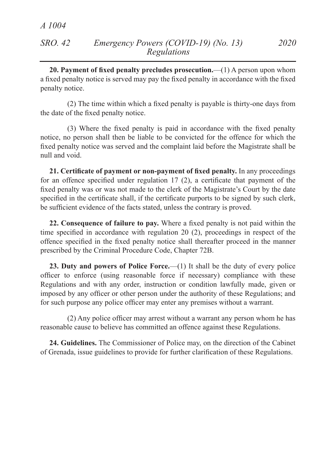**20. Payment of fixed penalty precludes prosecution.**—(1) A person upon whom a fixed penalty notice is served may pay the fixed penalty in accordance with the fixed penalty notice.

(2) The time within which a fixed penalty is payable is thirty-one days from the date of the fixed penalty notice.

(3) Where the fixed penalty is paid in accordance with the fixed penalty notice, no person shall then be liable to be convicted for the offence for which the fixed penalty notice was served and the complaint laid before the Magistrate shall be null and void.

**21. Certificate of payment or non-payment of fixed penalty.** In any proceedings for an offence specified under regulation 17 (2), a certificate that payment of the fixed penalty was or was not made to the clerk of the Magistrate's Court by the date specified in the certificate shall, if the certificate purports to be signed by such clerk, be sufficient evidence of the facts stated, unless the contrary is proved.

**22. Consequence of failure to pay.** Where a fixed penalty is not paid within the time specified in accordance with regulation 20 (2), proceedings in respect of the offence specified in the fixed penalty notice shall thereafter proceed in the manner prescribed by the Criminal Procedure Code, Chapter 72B.

**23. Duty and powers of Police Force.**—(1) It shall be the duty of every police officer to enforce (using reasonable force if necessary) compliance with these Regulations and with any order, instruction or condition lawfully made, given or imposed by any officer or other person under the authority of these Regulations; and for such purpose any police officer may enter any premises without a warrant.

(2) Any police officer may arrest without a warrant any person whom he has reasonable cause to believe has committed an offence against these Regulations.

**24. Guidelines.** The Commissioner of Police may, on the direction of the Cabinet of Grenada, issue guidelines to provide for further clarification of these Regulations.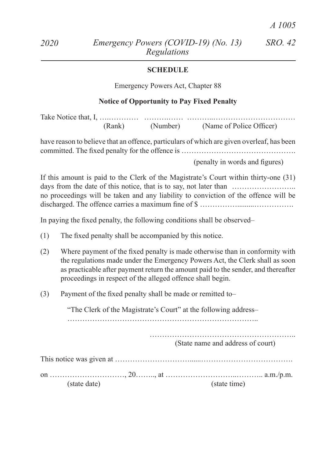### **SCHEDULE**

Emergency Powers Act, Chapter 88

#### **Notice of Opportunity to Pay Fixed Penalty**

Take Notice that, I, ….………… ……….…… ………..…………………………… (Rank) (Number) (Name of Police Officer)

have reason to believe that an offence, particulars of which are given overleaf, has been committed. The fixed penalty for the offence is ……………………………………….

 (penalty in words and figures)

If this amount is paid to the Clerk of the Magistrate's Court within thirty-one (31) days from the date of this notice, that is to say, not later than ……………………… no proceedings will be taken and any liability to conviction of the offence will be discharged. The offence carries a maximum fine of \$ …………….........…………….

In paying the fixed penalty, the following conditions shall be observed–

- (1) The fixed penalty shall be accompanied by this notice.
- (2) Where payment of the fixed penalty is made otherwise than in conformity with the regulations made under the Emergency Powers Act, the Clerk shall as soon as practicable after payment return the amount paid to the sender, and thereafter proceedings in respect of the alleged offence shall begin.
- (3) Payment of the fixed penalty shall be made or remitted to–

"The Clerk of the Magistrate's Court" at the following address–

…………………………………………………………………..

………………………………………………….. (State name and address of court)

| (state date) |  | (state time) |  |
|--------------|--|--------------|--|